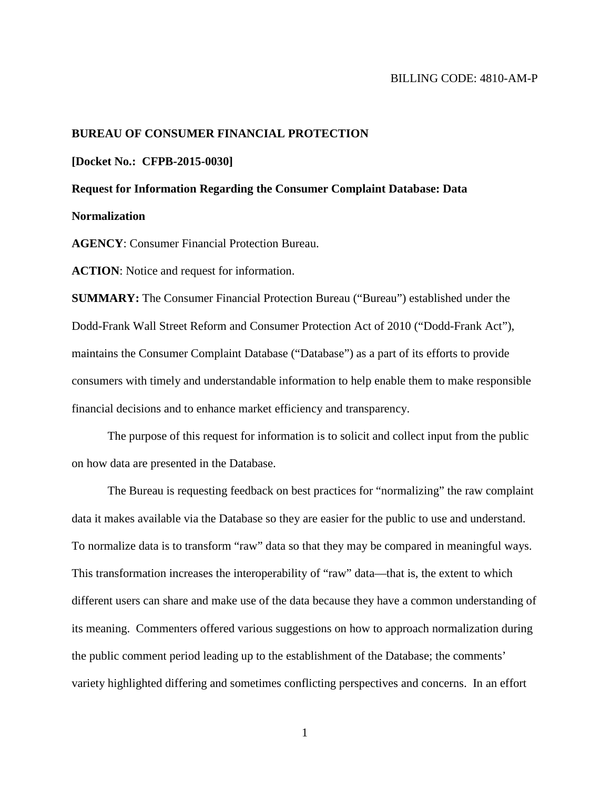### BILLING CODE: 4810-AM-P

### **BUREAU OF CONSUMER FINANCIAL PROTECTION**

#### **[Docket No.: CFPB-2015-0030]**

# **Request for Information Regarding the Consumer Complaint Database: Data Normalization**

**AGENCY**: Consumer Financial Protection Bureau.

**ACTION**: Notice and request for information.

**SUMMARY:** The Consumer Financial Protection Bureau ("Bureau") established under the Dodd-Frank Wall Street Reform and Consumer Protection Act of 2010 ("Dodd-Frank Act"), maintains the Consumer Complaint Database ("Database") as a part of its efforts to provide consumers with timely and understandable information to help enable them to make responsible financial decisions and to enhance market efficiency and transparency.

The purpose of this request for information is to solicit and collect input from the public on how data are presented in the Database.

The Bureau is requesting feedback on best practices for "normalizing" the raw complaint data it makes available via the Database so they are easier for the public to use and understand. To normalize data is to transform "raw" data so that they may be compared in meaningful ways. This transformation increases the interoperability of "raw" data—that is, the extent to which different users can share and make use of the data because they have a common understanding of its meaning. Commenters offered various suggestions on how to approach normalization during the public comment period leading up to the establishment of the Database; the comments' variety highlighted differing and sometimes conflicting perspectives and concerns. In an effort

1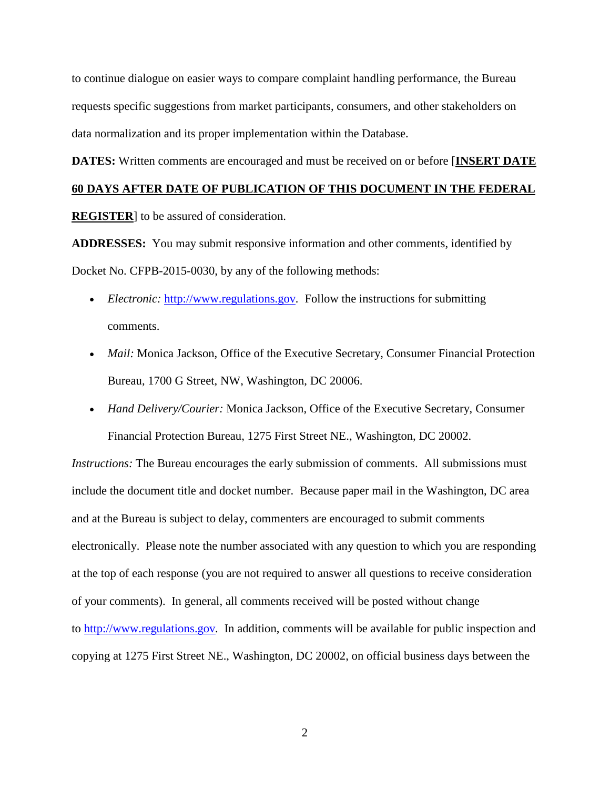to continue dialogue on easier ways to compare complaint handling performance, the Bureau requests specific suggestions from market participants, consumers, and other stakeholders on data normalization and its proper implementation within the Database.

**DATES:** Written comments are encouraged and must be received on or before [**INSERT DATE** 

## **60 DAYS AFTER DATE OF PUBLICATION OF THIS DOCUMENT IN THE FEDERAL**

**REGISTER**] to be assured of consideration.

**ADDRESSES:** You may submit responsive information and other comments, identified by Docket No. CFPB-2015-0030, by any of the following methods:

- *Electronic:* [http://www.regulations.gov](http://www.regulations.gov/). Follow the instructions for submitting comments.
- *Mail:* Monica Jackson, Office of the Executive Secretary, Consumer Financial Protection Bureau, 1700 G Street, NW, Washington, DC 20006.
- *Hand Delivery/Courier:* Monica Jackson, Office of the Executive Secretary, Consumer Financial Protection Bureau, 1275 First Street NE., Washington, DC 20002.

*Instructions:* The Bureau encourages the early submission of comments. All submissions must include the document title and docket number. Because paper mail in the Washington, DC area and at the Bureau is subject to delay, commenters are encouraged to submit comments electronically. Please note the number associated with any question to which you are responding at the top of each response (you are not required to answer all questions to receive consideration of your comments). In general, all comments received will be posted without change to [http://www.regulations.gov](http://www.regulations.gov/)*.* In addition, comments will be available for public inspection and copying at 1275 First Street NE., Washington, DC 20002, on official business days between the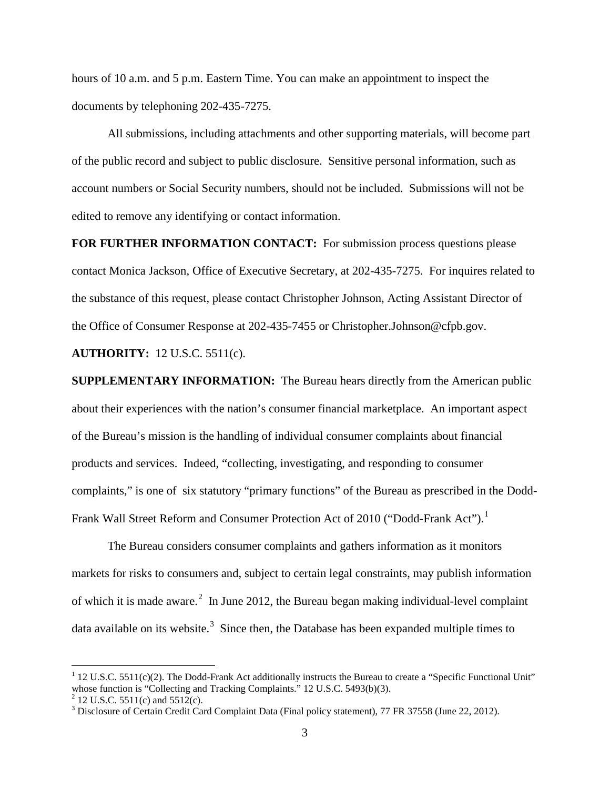hours of 10 a.m. and 5 p.m. Eastern Time. You can make an appointment to inspect the documents by telephoning 202-435-7275.

All submissions, including attachments and other supporting materials, will become part of the public record and subject to public disclosure. Sensitive personal information, such as account numbers or Social Security numbers, should not be included. Submissions will not be edited to remove any identifying or contact information.

**FOR FURTHER INFORMATION CONTACT:** For submission process questions please contact Monica Jackson, Office of Executive Secretary, at 202-435-7275. For inquires related to the substance of this request, please contact Christopher Johnson, Acting Assistant Director of the Office of Consumer Response at 202-435-7455 or Christopher.Johnson@cfpb.gov.

**AUTHORITY:** 12 U.S.C. 5511(c).

**SUPPLEMENTARY INFORMATION:** The Bureau hears directly from the American public about their experiences with the nation's consumer financial marketplace. An important aspect of the Bureau's mission is the handling of individual consumer complaints about financial products and services. Indeed, "collecting, investigating, and responding to consumer complaints," is one of six statutory "primary functions" of the Bureau as prescribed in the Dodd-Frank Wall Street Reform and Consumer Protection Act of 20[1](#page-2-0)0 ("Dodd-Frank Act").<sup>1</sup>

The Bureau considers consumer complaints and gathers information as it monitors markets for risks to consumers and, subject to certain legal constraints, may publish information of which it is made aware.<sup>[2](#page-2-1)</sup> In June 2012, the Bureau began making individual-level complaint data available on its website.<sup>[3](#page-2-2)</sup> Since then, the Database has been expanded multiple times to

<span id="page-2-0"></span><sup>&</sup>lt;sup>1</sup> 12 U.S.C. 5511(c)(2). The Dodd-Frank Act additionally instructs the Bureau to create a "Specific Functional Unit" whose function is "Collecting and Tracking Complaints." 12 U.S.C. 5493(b)(3).

<span id="page-2-2"></span><span id="page-2-1"></span>

<sup>&</sup>lt;sup>2</sup> 12 U.S.C. 5511(c) and 5512(c). <sup>3</sup> Disclosure of Certain Credit Card Complaint Data (Final policy statement), 77 FR 37558 (June 22, 2012).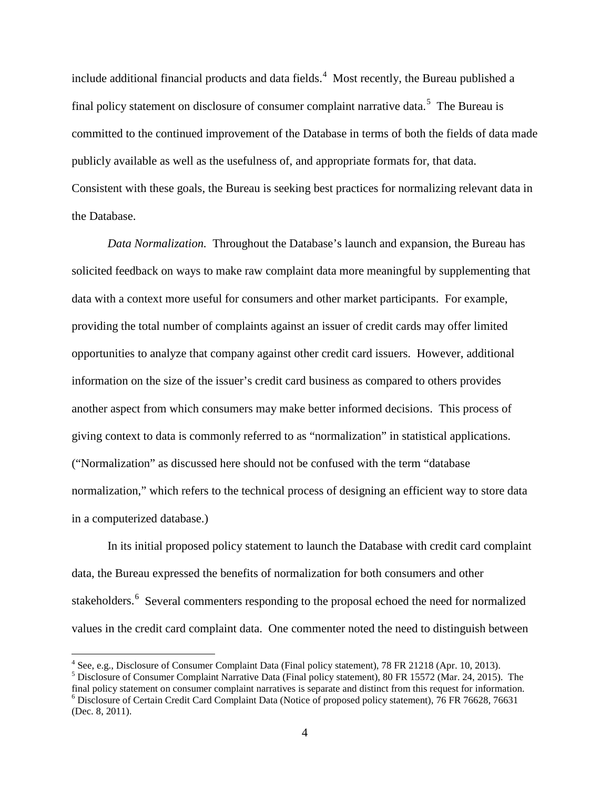include additional financial products and data fields.<sup>[4](#page-3-0)</sup> Most recently, the Bureau published a final policy statement on disclosure of consumer complaint narrative data.<sup>[5](#page-3-1)</sup> The Bureau is committed to the continued improvement of the Database in terms of both the fields of data made publicly available as well as the usefulness of, and appropriate formats for, that data. Consistent with these goals, the Bureau is seeking best practices for normalizing relevant data in the Database.

*Data Normalization.* Throughout the Database's launch and expansion, the Bureau has solicited feedback on ways to make raw complaint data more meaningful by supplementing that data with a context more useful for consumers and other market participants. For example, providing the total number of complaints against an issuer of credit cards may offer limited opportunities to analyze that company against other credit card issuers. However, additional information on the size of the issuer's credit card business as compared to others provides another aspect from which consumers may make better informed decisions. This process of giving context to data is commonly referred to as "normalization" in statistical applications. ("Normalization" as discussed here should not be confused with the term "database normalization," which refers to the technical process of designing an efficient way to store data in a computerized database.)

In its initial proposed policy statement to launch the Database with credit card complaint data, the Bureau expressed the benefits of normalization for both consumers and other stakeholders.<sup>[6](#page-3-2)</sup> Several commenters responding to the proposal echoed the need for normalized values in the credit card complaint data. One commenter noted the need to distinguish between

<span id="page-3-0"></span><sup>4</sup> See, e.g., Disclosure of Consumer Complaint Data (Final policy statement), 78 FR 21218 (Apr. 10, 2013). <sup>5</sup> Disclosure of Consumer Complaint Narrative Data (Final policy statement), 80 FR 15572 (Mar. 24, 2015). The fi  $6$  Disclosure of Certain Credit Card Complaint Data (Notice of proposed policy statement), 76 FR 76628, 76631 (Dec. 8, 2011).

<span id="page-3-2"></span><span id="page-3-1"></span>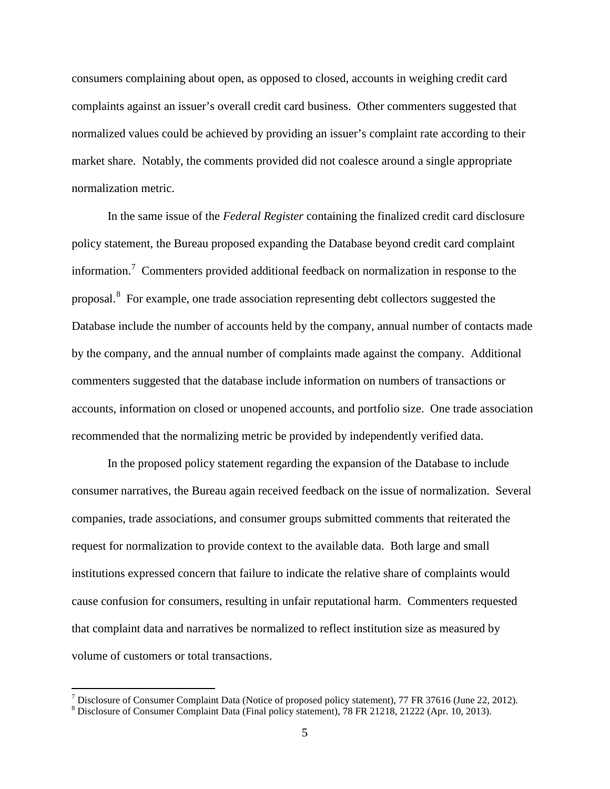consumers complaining about open, as opposed to closed, accounts in weighing credit card complaints against an issuer's overall credit card business. Other commenters suggested that normalized values could be achieved by providing an issuer's complaint rate according to their market share. Notably, the comments provided did not coalesce around a single appropriate normalization metric.

In the same issue of the *Federal Register* containing the finalized credit card disclosure policy statement, the Bureau proposed expanding the Database beyond credit card complaint information.<sup>[7](#page-4-0)</sup> Commenters provided additional feedback on normalization in response to the proposal.[8](#page-4-1) For example, one trade association representing debt collectors suggested the Database include the number of accounts held by the company, annual number of contacts made by the company, and the annual number of complaints made against the company. Additional commenters suggested that the database include information on numbers of transactions or accounts, information on closed or unopened accounts, and portfolio size. One trade association recommended that the normalizing metric be provided by independently verified data.

In the proposed policy statement regarding the expansion of the Database to include consumer narratives, the Bureau again received feedback on the issue of normalization. Several companies, trade associations, and consumer groups submitted comments that reiterated the request for normalization to provide context to the available data. Both large and small institutions expressed concern that failure to indicate the relative share of complaints would cause confusion for consumers, resulting in unfair reputational harm. Commenters requested that complaint data and narratives be normalized to reflect institution size as measured by volume of customers or total transactions.

<span id="page-4-0"></span><sup>7</sup> Disclosure of Consumer Complaint Data (Notice of proposed policy statement), 77 FR 37616 (June 22, 2012). <sup>8</sup> Disclosure of Consumer Complaint Data (Final policy statement), 78 FR 21218, 21222 (Apr. 10, 2013).

<span id="page-4-1"></span>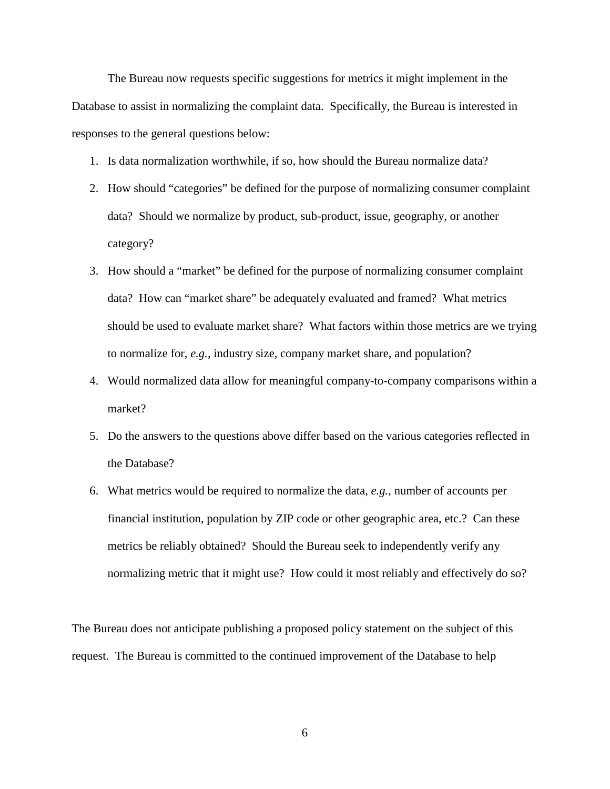The Bureau now requests specific suggestions for metrics it might implement in the Database to assist in normalizing the complaint data. Specifically, the Bureau is interested in responses to the general questions below:

- 1. Is data normalization worthwhile, if so, how should the Bureau normalize data?
- 2. How should "categories" be defined for the purpose of normalizing consumer complaint data? Should we normalize by product, sub-product, issue, geography, or another category?
- 3. How should a "market" be defined for the purpose of normalizing consumer complaint data? How can "market share" be adequately evaluated and framed? What metrics should be used to evaluate market share? What factors within those metrics are we trying to normalize for, *e.g.*, industry size, company market share, and population?
- 4. Would normalized data allow for meaningful company-to-company comparisons within a market?
- 5. Do the answers to the questions above differ based on the various categories reflected in the Database?
- 6. What metrics would be required to normalize the data, *e.g.*, number of accounts per financial institution, population by ZIP code or other geographic area, etc.? Can these metrics be reliably obtained? Should the Bureau seek to independently verify any normalizing metric that it might use? How could it most reliably and effectively do so?

The Bureau does not anticipate publishing a proposed policy statement on the subject of this request. The Bureau is committed to the continued improvement of the Database to help

6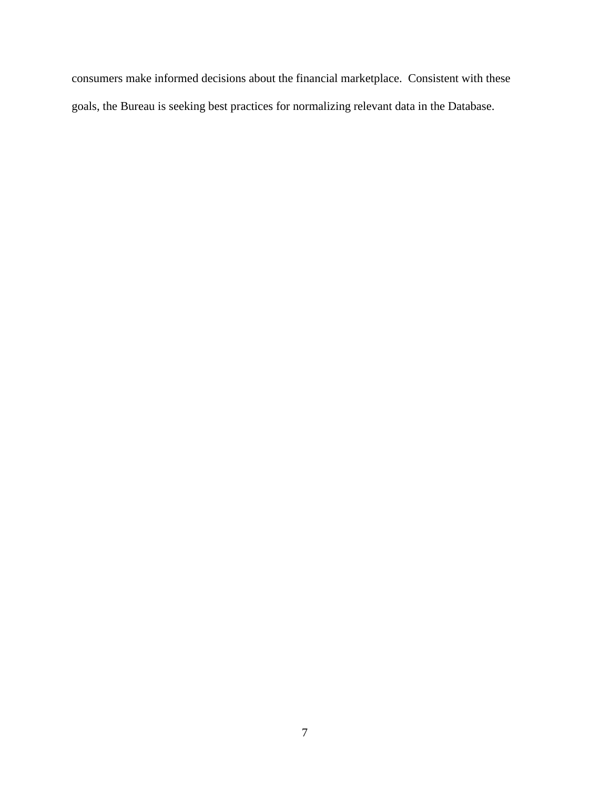consumers make informed decisions about the financial marketplace. Consistent with these goals, the Bureau is seeking best practices for normalizing relevant data in the Database.